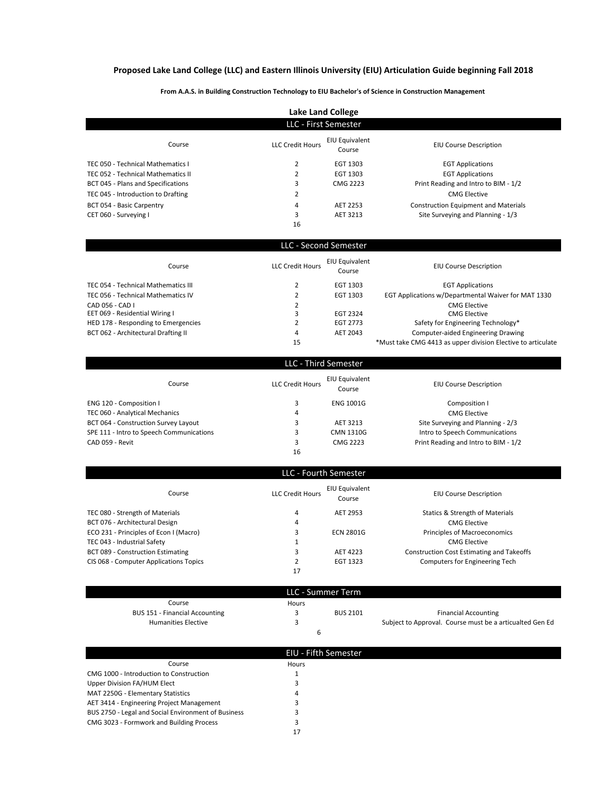## **Proposed Lake Land College (LLC) and Eastern Illinois University (EIU) Articulation Guide beginning Fall 2018**

**From A.A.S. in Building Construction Technology to EIU Bachelor's of Science in Construction Management** 

| Lake Land College                  |                         |                          |                                             |
|------------------------------------|-------------------------|--------------------------|---------------------------------------------|
| LLC - First Semester               |                         |                          |                                             |
| Course                             | <b>LLC Credit Hours</b> | EIU Equivalent<br>Course | <b>EIU Course Description</b>               |
| TEC 050 - Technical Mathematics I  |                         | EGT 1303                 | <b>EGT Applications</b>                     |
| TEC 052 - Technical Mathematics II |                         | EGT 1303                 | <b>EGT Applications</b>                     |
| BCT 045 - Plans and Specifications | 3                       | CMG 2223                 | Print Reading and Intro to BIM - 1/2        |
| TEC 045 - Introduction to Drafting | <u>ີ</u>                |                          | <b>CMG Elective</b>                         |
| BCT 054 - Basic Carpentry          | 4                       | AET 2253                 | <b>Construction Equipment and Materials</b> |
| CET 060 - Surveying I              | 3                       | AET 3213                 | Site Surveying and Planning - 1/3           |
|                                    | 16                      |                          |                                             |

| LLC - Second Semester               |                         |                          |                                                              |
|-------------------------------------|-------------------------|--------------------------|--------------------------------------------------------------|
| Course                              | <b>LLC Credit Hours</b> | EIU Equivalent<br>Course | <b>EIU Course Description</b>                                |
| TEC 054 - Technical Mathematics III |                         | EGT 1303                 | <b>EGT Applications</b>                                      |
| TEC 056 - Technical Mathematics IV  |                         | EGT 1303                 | EGT Applications w/Departmental Waiver for MAT 1330          |
| CAD 056 - CAD I                     | 2                       |                          | <b>CMG Elective</b>                                          |
| EET 069 - Residential Wiring I      |                         | <b>EGT 2324</b>          | <b>CMG Elective</b>                                          |
| HED 178 - Responding to Emergencies |                         | EGT 2773                 | Safety for Engineering Technology*                           |
| BCT 062 - Architectural Drafting II | 4                       | AET 2043                 | <b>Computer-aided Engineering Drawing</b>                    |
|                                     | 15                      |                          | *Must take CMG 4413 as upper division Elective to articulate |

|                                          | LLC - Third Semester    |                          |                                      |
|------------------------------------------|-------------------------|--------------------------|--------------------------------------|
| Course                                   | <b>LLC Credit Hours</b> | EIU Equivalent<br>Course | <b>EIU Course Description</b>        |
| ENG 120 - Composition I                  |                         | <b>ENG 1001G</b>         | Composition I                        |
| TEC 060 - Analytical Mechanics           | 4                       |                          | <b>CMG Elective</b>                  |
| BCT 064 - Construction Survey Layout     |                         | AET 3213                 | Site Surveying and Planning - 2/3    |
| SPE 111 - Intro to Speech Communications |                         | CMN 1310G                | Intro to Speech Communications       |
| CAD 059 - Revit                          | 3                       | CMG 2223                 | Print Reading and Intro to BIM - 1/2 |
|                                          | 16                      |                          |                                      |

|                                        |                         | LLC - Fourth Semester    |                                                  |
|----------------------------------------|-------------------------|--------------------------|--------------------------------------------------|
| Course                                 | <b>LLC Credit Hours</b> | EIU Equivalent<br>Course | <b>EIU Course Description</b>                    |
| TEC 080 - Strength of Materials        | 4                       | AET 2953                 | Statics & Strength of Materials                  |
| BCT 076 - Architectural Design         | 4                       |                          | <b>CMG Elective</b>                              |
| ECO 231 - Principles of Econ I (Macro) | 3                       | <b>ECN 2801G</b>         | Principles of Macroeconomics                     |
| TEC 043 - Industrial Safety            |                         |                          | <b>CMG Elective</b>                              |
| BCT 089 - Construction Estimating      | 3                       | AET 4223                 | <b>Construction Cost Estimating and Takeoffs</b> |
| CIS 068 - Computer Applications Topics | L                       | EGT 1323                 | Computers for Engineering Tech                   |
|                                        | 17                      |                          |                                                  |

|                                       |       | LLC - Summer Term |                                                          |
|---------------------------------------|-------|-------------------|----------------------------------------------------------|
| Course                                | Hours |                   |                                                          |
| <b>BUS 151 - Financial Accounting</b> |       | <b>BUS 2101</b>   | <b>Financial Accounting</b>                              |
| <b>Humanities Elective</b>            |       |                   | Subject to Approval. Course must be a articualted Gen Ed |
|                                       |       |                   |                                                          |

|                                                     | EIU - Fifth Semester |
|-----------------------------------------------------|----------------------|
| Course                                              | Hours                |
| CMG 1000 - Introduction to Construction             |                      |
| Upper Division FA/HUM Elect                         |                      |
| MAT 2250G - Elementary Statistics                   | 4                    |
| AET 3414 - Engineering Project Management           |                      |
| BUS 2750 - Legal and Social Environment of Business |                      |
| CMG 3023 - Formwork and Building Process            |                      |
|                                                     | 17                   |